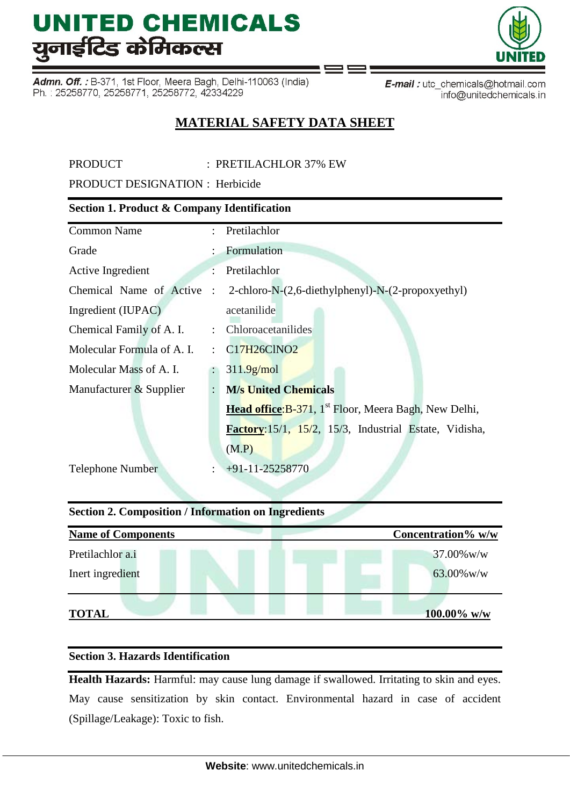Admn. Off. : B-371, 1st Floor, Meera Bagh, Delhi-110063 (India) Ph.: 25258770, 25258771, 25258772, 42334229

E-mail: utc\_chemicals@hotmail.com info@unitedchemicals.in

### **MATERIAL SAFETY DATA SHEET**

PRODUCT : PRETILACHLOR 37% EW

PRODUCT DESIGNATION : Herbicide

### **Section 1. Product & Company Identification**

| <b>Common Name</b>         |                | : Pretilachlor                                                    |
|----------------------------|----------------|-------------------------------------------------------------------|
| Grade                      |                | Formulation                                                       |
| Active Ingredient          |                | Pretilachlor                                                      |
| Chemical Name of Active    | $\cdot$ .      | 2-chloro-N-(2,6-diethylphenyl)-N-(2-propoxyethyl)                 |
| Ingredient (IUPAC)         |                | acetanilide                                                       |
| Chemical Family of A. I.   |                | : Chloroacetanilides                                              |
| Molecular Formula of A. I. | ÷              | C17H26ClNO2                                                       |
| Molecular Mass of A. I.    |                | 311.9 <sub>g/mol</sub>                                            |
| Manufacturer & Supplier    | $\ddot{\cdot}$ | <b>M/s United Chemicals</b>                                       |
|                            |                | Head office: B-371, 1 <sup>st</sup> Floor, Meera Bagh, New Delhi, |
|                            |                | Factory: 15/1, 15/2, 15/3, Industrial Estate, Vidisha,            |
|                            |                | (M.P)                                                             |
| <b>Telephone Number</b>    |                | $+91-11-25258770$                                                 |
|                            |                |                                                                   |

### **Section 2. Composition / Information on Ingredients**

| <b>Name of Components</b> | Concentration% w/w |
|---------------------------|--------------------|
| Pretilachlor a.i          | $37.00\%$ w/w      |
| Inert ingredient          | $63.00\%$ w/w      |
| <b>TOTAL</b>              | 100.00% w/w        |

### **Section 3. Hazards Identification**

**Health Hazards:** Harmful: may cause lung damage if swallowed. Irritating to skin and eyes. May cause sensitization by skin contact. Environmental hazard in case of accident (Spillage/Leakage): Toxic to fish.

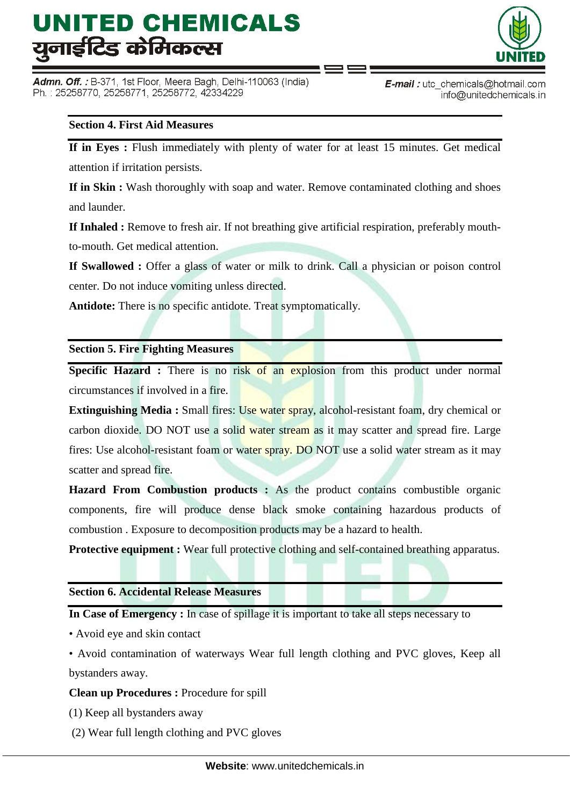Admn. Off.: B-371, 1st Floor, Meera Bagh, Delhi-110063 (India) Ph.: 25258770, 25258771, 25258772, 42334229



### **Section 4. First Aid Measures**

**If in Eyes :** Flush immediately with plenty of water for at least 15 minutes. Get medical attention if irritation persists.

**If in Skin :** Wash thoroughly with soap and water. Remove contaminated clothing and shoes and launder.

**If Inhaled :** Remove to fresh air. If not breathing give artificial respiration, preferably mouthto-mouth. Get medical attention.

**If Swallowed :** Offer a glass of water or milk to drink. Call a physician or poison control center. Do not induce vomiting unless directed.

**Antidote:** There is no specific antidote. Treat symptomatically.

#### **Section 5. Fire Fighting Measures**

**Specific Hazard :** There is no risk of an explosion from this product under normal circumstances if involved in a fire.

**Extinguishing Media :** Small fires: Use water spray, alcohol-resistant foam, dry chemical or carbon dioxide. DO NOT use a solid water stream as it may scatter and spread fire. Large fires: Use alcohol-resistant foam or water spray. DO NOT use a solid water stream as it may scatter and spread fire.

**Hazard From Combustion products :** As the product contains combustible organic components, fire will produce dense black smoke containing hazardous products of combustion . Exposure to decomposition products may be a hazard to health.

**Protective equipment :** Wear full protective clothing and self-contained breathing apparatus.

#### **Section 6. Accidental Release Measures**

**In Case of Emergency :** In case of spillage it is important to take all steps necessary to

• Avoid eye and skin contact

• Avoid contamination of waterways Wear full length clothing and PVC gloves, Keep all bystanders away.

#### **Clean up Procedures :** Procedure for spill

(1) Keep all bystanders away

(2) Wear full length clothing and PVC gloves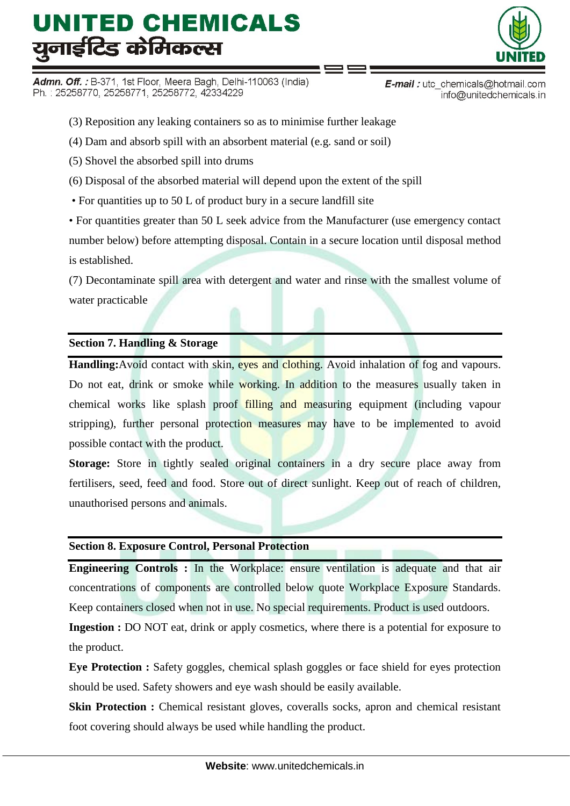Admn. Off.: B-371, 1st Floor, Meera Bagh, Delhi-110063 (India) Ph.: 25258770, 25258771, 25258772, 42334229



info@unitedchemicals.in

(3) Reposition any leaking containers so as to minimise further leakage

(4) Dam and absorb spill with an absorbent material (e.g. sand or soil)

(5) Shovel the absorbed spill into drums

(6) Disposal of the absorbed material will depend upon the extent of the spill

• For quantities up to 50 L of product bury in a secure landfill site

• For quantities greater than 50 L seek advice from the Manufacturer (use emergency contact number below) before attempting disposal. Contain in a secure location until disposal method is established.

(7) Decontaminate spill area with detergent and water and rinse with the smallest volume of water practicable

### **Section 7. Handling & Storage**

**Handling:**Avoid contact with skin, eves and clothing. Avoid inhalation of fog and vapours. Do not eat, drink or smoke while working. In addition to the measures usually taken in chemical works like splash proof filling and measuring equipment (including vapour stripping), further personal protection measures may have to be implemented to avoid possible contact with the product.

**Storage:** Store in tightly sealed original containers in a dry secure place away from fertilisers, seed, feed and food. Store out of direct sunlight. Keep out of reach of children, unauthorised persons and animals.

### **Section 8. Exposure Control, Personal Protection**

**Engineering Controls :** In the Workplace: ensure ventilation is adequate and that air concentrations of components are controlled below quote Workplace Exposure Standards. Keep containers closed when not in use. No special requirements. Product is used outdoors.

**Ingestion :** DO NOT eat, drink or apply cosmetics, where there is a potential for exposure to the product.

**Eye Protection :** Safety goggles, chemical splash goggles or face shield for eyes protection should be used. Safety showers and eye wash should be easily available.

**Skin Protection :** Chemical resistant gloves, coveralls socks, apron and chemical resistant foot covering should always be used while handling the product.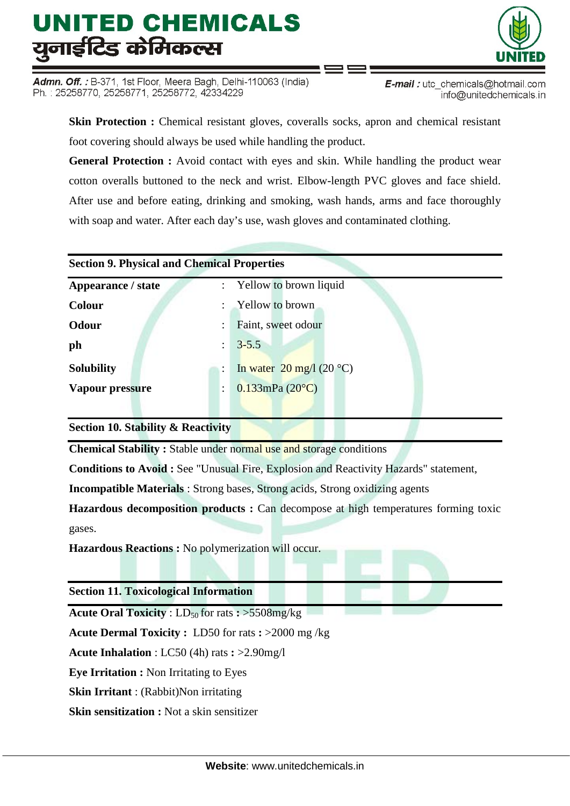Admn. Off.: B-371, 1st Floor, Meera Bagh, Delhi-110063 (India) Ph.: 25258770, 25258771, 25258772, 42334229

**E-mail**: utc chemicals@hotmail.com info@unitedchemicals.in

**Skin Protection :** Chemical resistant gloves, coveralls socks, apron and chemical resistant foot covering should always be used while handling the product.

**General Protection :** Avoid contact with eyes and skin. While handling the product wear cotton overalls buttoned to the neck and wrist. Elbow-length PVC gloves and face shield. After use and before eating, drinking and smoking, wash hands, arms and face thoroughly with soap and water. After each day's use, wash gloves and contaminated clothing.

#### **Section 9. Physical and Chemical Properties**

| Appearance / state | : Yellow to brown liquid                   |
|--------------------|--------------------------------------------|
| <b>Colour</b>      | <b>Yellow</b> to brown                     |
| Odour              | Faint, sweet odour                         |
| ph                 | $3 - 5.5$                                  |
| <b>Solubility</b>  | In water $20 \text{ mg}/1 (20 \text{ °C})$ |
| Vapour pressure    | $0.133$ mPa $(20^{\circ}C)$                |
|                    |                                            |

**Section 10. Stability & Reactivity**

**Chemical Stability :** Stable under normal use and storage conditions

**Conditions to Avoid :** See "Unusual Fire, Explosion and Reactivity Hazards" statement,

**Incompatible Materials** : Strong bases, Strong acids, Strong oxidizing agents

**Hazardous decomposition products :** Can decompose at high temperatures forming toxic gases.

**Hazardous Reactions :** No polymerization will occur.

**Section 11. Toxicological Information**

**Acute Oral Toxicity** :  $LD_{50}$  for rats  $:$  >5508mg/kg

**Acute Dermal Toxicity :** LD50 for rats **:** >2000 mg /kg

**Acute Inhalation** : LC50 (4h) rats **:** >2.90mg/l

**Eye Irritation :** Non Irritating to Eyes

**Skin Irritant** : (Rabbit)Non irritating

**Skin sensitization :** Not a skin sensitizer

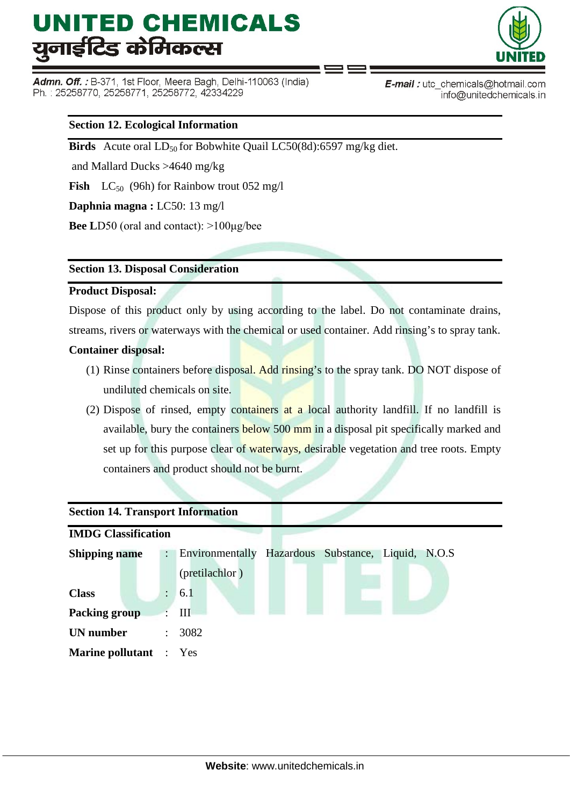Admn. Off. : B-371, 1st Floor, Meera Bagh, Delhi-110063 (India) Ph.: 25258770, 25258771, 25258772, 42334229



E-mail: utc chemicals@hotmail.com info@unitedchemicals.in

### **Section 12. Ecological Information**

**Birds** Acute oral LD<sub>50</sub> for Bobwhite Quail LC50(8d):6597 mg/kg diet.

and Mallard Ducks >4640 mg/kg

**Fish**  $LC_{50}$  (96h) for Rainbow trout 052 mg/l

**Daphnia magna :** LC50: 13 mg/l

**Bee L**D50 (oral and contact): >100μg/bee

### **Section 13. Disposal Consideration**

#### **Product Disposal:**

Dispose of this product only by using according to the label. Do not contaminate drains, streams, rivers or waterways with the chemical or used container. Add rinsing's to spray tank.

### **Container disposal:**

- (1) Rinse containers before disposal. Add rinsing's to the spray tank. DO NOT dispose of undiluted chemicals on site.
- (2) Dispose of rinsed, empty containers at a local authority landfill. If no landfill is available, bury the containers below 500 mm in a disposal pit specifically marked and set up for this purpose clear of waterways, desirable vegetation and tree roots. Empty containers and product should not be burnt.

### **Section 14. Transport Information**

| <b>IMDG Classification</b>    |                      |                                                       |  |  |  |  |  |  |  |
|-------------------------------|----------------------|-------------------------------------------------------|--|--|--|--|--|--|--|
| <b>Shipping name</b>          | $\ddot{\phantom{a}}$ | Hazardous Substance, Liquid, N.O.S<br>Environmentally |  |  |  |  |  |  |  |
|                               |                      | (pretilachlor)                                        |  |  |  |  |  |  |  |
| <b>Class</b>                  | $\ddot{\cdot}$       | 6.1                                                   |  |  |  |  |  |  |  |
| <b>Packing group</b>          |                      | Ш                                                     |  |  |  |  |  |  |  |
| <b>UN</b> number              | $\ddot{\phantom{a}}$ | 3082                                                  |  |  |  |  |  |  |  |
| <b>Marine pollutant</b> : Yes |                      |                                                       |  |  |  |  |  |  |  |